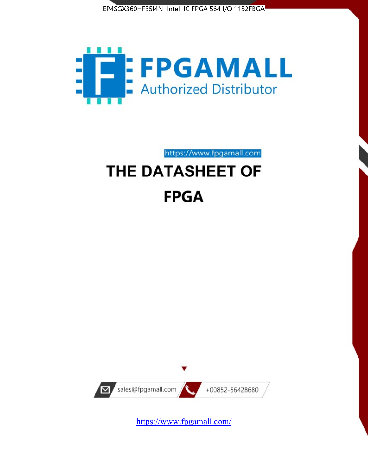



https://www.fpgamall.com THE DATASHEET OF

# **FPGA**



<https://www.fpgamall.com/>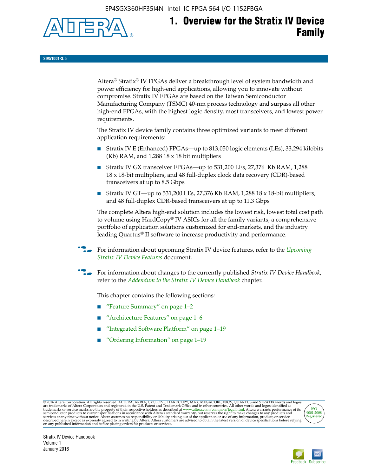EP4SGX360HF35I4N Intel IC FPGA 564 I/O 1152FBGA



# **1. Overview for the Stratix IV Device Family**

**SIV51001-3.5**

Altera® Stratix® IV FPGAs deliver a breakthrough level of system bandwidth and power efficiency for high-end applications, allowing you to innovate without compromise. Stratix IV FPGAs are based on the Taiwan Semiconductor Manufacturing Company (TSMC) 40-nm process technology and surpass all other high-end FPGAs, with the highest logic density, most transceivers, and lowest power requirements.

The Stratix IV device family contains three optimized variants to meet different application requirements:

- Stratix IV E (Enhanced) FPGAs—up to 813,050 logic elements (LEs), 33,294 kilobits (Kb) RAM, and 1,288 18 x 18 bit multipliers
- Stratix IV GX transceiver FPGAs—up to 531,200 LEs, 27,376 Kb RAM, 1,288 18 x 18-bit multipliers, and 48 full-duplex clock data recovery (CDR)-based transceivers at up to 8.5 Gbps
- Stratix IV GT—up to 531,200 LEs, 27,376 Kb RAM, 1,288 18 x 18-bit multipliers, and 48 full-duplex CDR-based transceivers at up to 11.3 Gbps

The complete Altera high-end solution includes the lowest risk, lowest total cost path to volume using HardCopy® IV ASICs for all the family variants, a comprehensive portfolio of application solutions customized for end-markets, and the industry leading Quartus® II software to increase productivity and performance.

f For information about upcoming Stratix IV device features, refer to the *[Upcoming](http://www.altera.com/literature/hb/stratix-iv/uf01001.pdf?GSA_pos=2&WT.oss_r=1&WT.oss=upcoming)  [Stratix IV Device Features](http://www.altera.com/literature/hb/stratix-iv/uf01001.pdf?GSA_pos=2&WT.oss_r=1&WT.oss=upcoming)* document.

f For information about changes to the currently published *Stratix IV Device Handbook*, refer to the *[Addendum to the Stratix IV Device Handbook](http://www.altera.com/literature/hb/stratix-iv/stx4_siv54002.pdf)* chapter.

This chapter contains the following sections:

- "Feature Summary" on page 1–2
- "Architecture Features" on page 1–6
- "Integrated Software Platform" on page 1–19
- "Ordering Information" on page 1–19

@2016 Altera Corporation. All rights reserved. ALTERA, ARRIA, CYCLONE, HARDCOPY, MAX, MEGACORE, NIOS, QUARTUS and STRATIX words and logos are trademarks of Altera Corporation and registered in the U.S. Patent and Trademark



Stratix IV Device Handbook Volume 1 January 2016

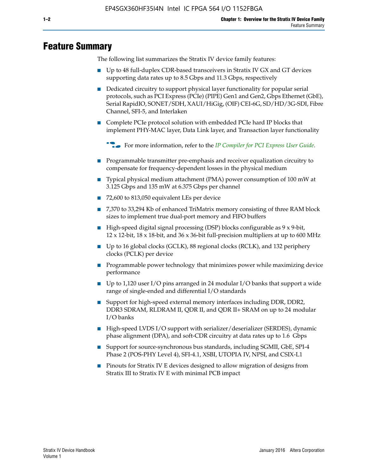## **Feature Summary**

The following list summarizes the Stratix IV device family features:

- Up to 48 full-duplex CDR-based transceivers in Stratix IV GX and GT devices supporting data rates up to 8.5 Gbps and 11.3 Gbps, respectively
- Dedicated circuitry to support physical layer functionality for popular serial protocols, such as PCI Express (PCIe) (PIPE) Gen1 and Gen2, Gbps Ethernet (GbE), Serial RapidIO, SONET/SDH, XAUI/HiGig, (OIF) CEI-6G, SD/HD/3G-SDI, Fibre Channel, SFI-5, and Interlaken
- Complete PCIe protocol solution with embedded PCIe hard IP blocks that implement PHY-MAC layer, Data Link layer, and Transaction layer functionality

**For more information, refer to the** *[IP Compiler for PCI Express User Guide](http://www.altera.com/literature/ug/ug_pci_express.pdf)***.** 

- Programmable transmitter pre-emphasis and receiver equalization circuitry to compensate for frequency-dependent losses in the physical medium
- Typical physical medium attachment (PMA) power consumption of 100 mW at 3.125 Gbps and 135 mW at 6.375 Gbps per channel
- 72,600 to 813,050 equivalent LEs per device
- 7,370 to 33,294 Kb of enhanced TriMatrix memory consisting of three RAM block sizes to implement true dual-port memory and FIFO buffers
- High-speed digital signal processing (DSP) blocks configurable as 9 x 9-bit,  $12 \times 12$ -bit,  $18 \times 18$ -bit, and  $36 \times 36$ -bit full-precision multipliers at up to 600 MHz
- Up to 16 global clocks (GCLK), 88 regional clocks (RCLK), and 132 periphery clocks (PCLK) per device
- Programmable power technology that minimizes power while maximizing device performance
- Up to 1,120 user I/O pins arranged in 24 modular I/O banks that support a wide range of single-ended and differential I/O standards
- Support for high-speed external memory interfaces including DDR, DDR2, DDR3 SDRAM, RLDRAM II, QDR II, and QDR II+ SRAM on up to 24 modular I/O banks
- High-speed LVDS I/O support with serializer/deserializer (SERDES), dynamic phase alignment (DPA), and soft-CDR circuitry at data rates up to 1.6 Gbps
- Support for source-synchronous bus standards, including SGMII, GbE, SPI-4 Phase 2 (POS-PHY Level 4), SFI-4.1, XSBI, UTOPIA IV, NPSI, and CSIX-L1
- Pinouts for Stratix IV E devices designed to allow migration of designs from Stratix III to Stratix IV E with minimal PCB impact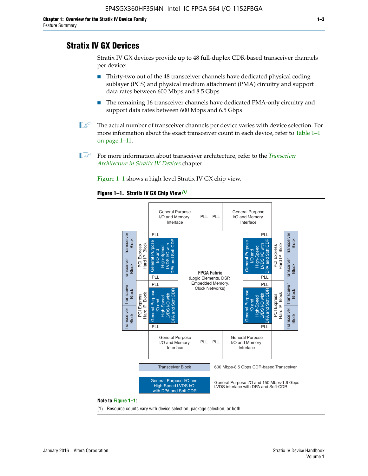## **Stratix IV GX Devices**

Stratix IV GX devices provide up to 48 full-duplex CDR-based transceiver channels per device:

- Thirty-two out of the 48 transceiver channels have dedicated physical coding sublayer (PCS) and physical medium attachment (PMA) circuitry and support data rates between 600 Mbps and 8.5 Gbps
- The remaining 16 transceiver channels have dedicated PMA-only circuitry and support data rates between 600 Mbps and 6.5 Gbps
- **1 The actual number of transceiver channels per device varies with device selection. For** more information about the exact transceiver count in each device, refer to Table 1–1 on page 1–11.
- 1 For more information about transceiver architecture, refer to the *[Transceiver](http://www.altera.com/literature/hb/stratix-iv/stx4_siv52001.pdf)  [Architecture in Stratix IV Devices](http://www.altera.com/literature/hb/stratix-iv/stx4_siv52001.pdf)* chapter.

Figure 1–1 shows a high-level Stratix IV GX chip view.

#### **Figure 1–1. Stratix IV GX Chip View** *(1)*



#### **Note to Figure 1–1:**

(1) Resource counts vary with device selection, package selection, or both.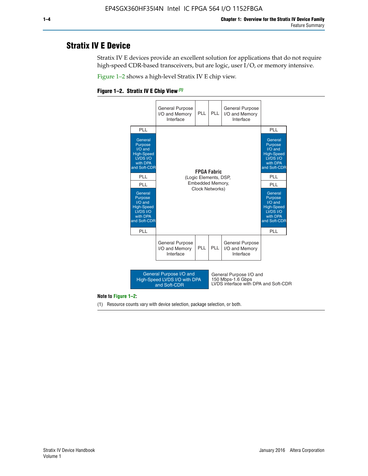## **Stratix IV E Device**

Stratix IV E devices provide an excellent solution for applications that do not require high-speed CDR-based transceivers, but are logic, user I/O, or memory intensive.

Figure 1–2 shows a high-level Stratix IV E chip view.





#### **Note to Figure 1–2:**

(1) Resource counts vary with device selection, package selection, or both.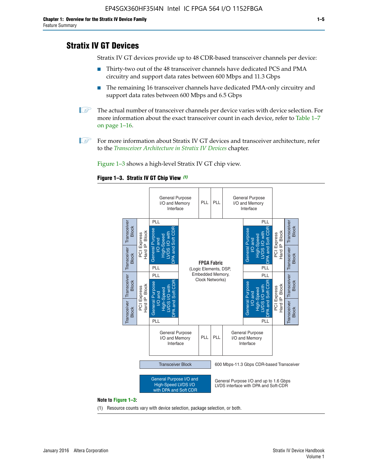## **Stratix IV GT Devices**

Stratix IV GT devices provide up to 48 CDR-based transceiver channels per device:

- Thirty-two out of the 48 transceiver channels have dedicated PCS and PMA circuitry and support data rates between 600 Mbps and 11.3 Gbps
- The remaining 16 transceiver channels have dedicated PMA-only circuitry and support data rates between 600 Mbps and 6.5 Gbps
- **1** The actual number of transceiver channels per device varies with device selection. For more information about the exact transceiver count in each device, refer to Table 1–7 on page 1–16.
- $\mathbb{I}$  For more information about Stratix IV GT devices and transceiver architecture, refer to the *[Transceiver Architecture in Stratix IV Devices](http://www.altera.com/literature/hb/stratix-iv/stx4_siv52001.pdf)* chapter.

Figure 1–3 shows a high-level Stratix IV GT chip view.



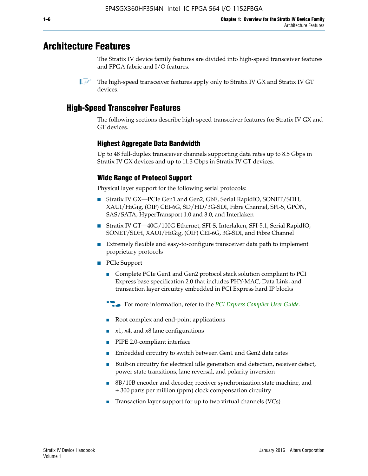## **Architecture Features**

The Stratix IV device family features are divided into high-speed transceiver features and FPGA fabric and I/O features.

## **High-Speed Transceiver Features**

The following sections describe high-speed transceiver features for Stratix IV GX and GT devices.

## **Highest Aggregate Data Bandwidth**

Up to 48 full-duplex transceiver channels supporting data rates up to 8.5 Gbps in Stratix IV GX devices and up to 11.3 Gbps in Stratix IV GT devices.

## **Wide Range of Protocol Support**

Physical layer support for the following serial protocols:

- Stratix IV GX—PCIe Gen1 and Gen2, GbE, Serial RapidIO, SONET/SDH, XAUI/HiGig, (OIF) CEI-6G, SD/HD/3G-SDI, Fibre Channel, SFI-5, GPON, SAS/SATA, HyperTransport 1.0 and 3.0, and Interlaken
- Stratix IV GT—40G/100G Ethernet, SFI-S, Interlaken, SFI-5.1, Serial RapidIO, SONET/SDH, XAUI/HiGig, (OIF) CEI-6G, 3G-SDI, and Fibre Channel
- Extremely flexible and easy-to-configure transceiver data path to implement proprietary protocols
- PCIe Support
	- Complete PCIe Gen1 and Gen2 protocol stack solution compliant to PCI Express base specification 2.0 that includes PHY-MAC, Data Link, and transaction layer circuitry embedded in PCI Express hard IP blocks
	- **For more information, refer to the [PCI Express Compiler User Guide](http://www.altera.com/literature/ug/ug_pci_express.pdf).**
	- Root complex and end-point applications
	- $x1, x4,$  and  $x8$  lane configurations
	- PIPE 2.0-compliant interface
	- Embedded circuitry to switch between Gen1 and Gen2 data rates
	- Built-in circuitry for electrical idle generation and detection, receiver detect, power state transitions, lane reversal, and polarity inversion
	- 8B/10B encoder and decoder, receiver synchronization state machine, and ± 300 parts per million (ppm) clock compensation circuitry
	- Transaction layer support for up to two virtual channels (VCs)

 $\mathbb{I}$  The high-speed transceiver features apply only to Stratix IV GX and Stratix IV GT devices.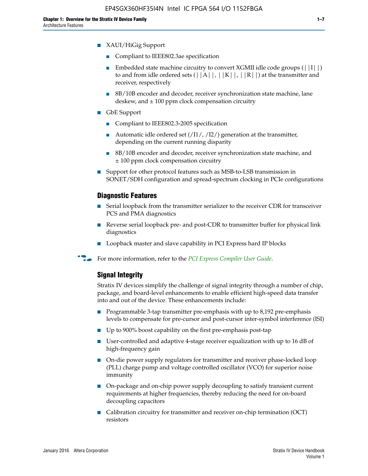- Compliant to IEEE802.3ae specification
- **■** Embedded state machine circuitry to convert XGMII idle code groups  $(|11|)$ to and from idle ordered sets  $(|A|, |K|, |R|)$  at the transmitter and receiver, respectively
- 8B/10B encoder and decoder, receiver synchronization state machine, lane deskew, and  $\pm 100$  ppm clock compensation circuitry
- GbE Support
	- Compliant to IEEE802.3-2005 specification
	- Automatic idle ordered set  $(111/112/1)$  generation at the transmitter, depending on the current running disparity
	- 8B/10B encoder and decoder, receiver synchronization state machine, and ± 100 ppm clock compensation circuitry
- Support for other protocol features such as MSB-to-LSB transmission in SONET/SDH configuration and spread-spectrum clocking in PCIe configurations

#### **Diagnostic Features**

- Serial loopback from the transmitter serializer to the receiver CDR for transceiver PCS and PMA diagnostics
- Reverse serial loopback pre- and post-CDR to transmitter buffer for physical link diagnostics
- Loopback master and slave capability in PCI Express hard IP blocks
- **For more information, refer to the** *[PCI Express Compiler User Guide](http://www.altera.com/literature/ug/ug_pci_express.pdf)***.**

## **Signal Integrity**

Stratix IV devices simplify the challenge of signal integrity through a number of chip, package, and board-level enhancements to enable efficient high-speed data transfer into and out of the device. These enhancements include:

- Programmable 3-tap transmitter pre-emphasis with up to 8,192 pre-emphasis levels to compensate for pre-cursor and post-cursor inter-symbol interference (ISI)
- Up to 900% boost capability on the first pre-emphasis post-tap
- User-controlled and adaptive 4-stage receiver equalization with up to 16 dB of high-frequency gain
- On-die power supply regulators for transmitter and receiver phase-locked loop (PLL) charge pump and voltage controlled oscillator (VCO) for superior noise immunity
- On-package and on-chip power supply decoupling to satisfy transient current requirements at higher frequencies, thereby reducing the need for on-board decoupling capacitors
- Calibration circuitry for transmitter and receiver on-chip termination (OCT) resistors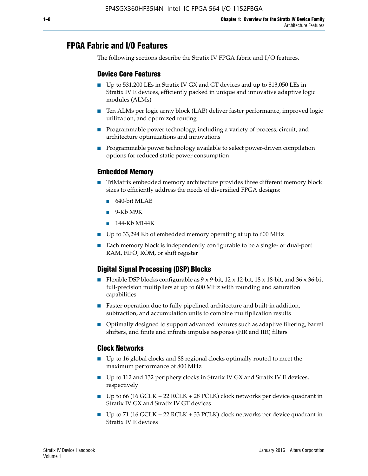## **FPGA Fabric and I/O Features**

The following sections describe the Stratix IV FPGA fabric and I/O features.

## **Device Core Features**

- Up to 531,200 LEs in Stratix IV GX and GT devices and up to 813,050 LEs in Stratix IV E devices, efficiently packed in unique and innovative adaptive logic modules (ALMs)
- Ten ALMs per logic array block (LAB) deliver faster performance, improved logic utilization, and optimized routing
- Programmable power technology, including a variety of process, circuit, and architecture optimizations and innovations
- Programmable power technology available to select power-driven compilation options for reduced static power consumption

#### **Embedded Memory**

- TriMatrix embedded memory architecture provides three different memory block sizes to efficiently address the needs of diversified FPGA designs:
	- 640-bit MLAB
	- 9-Kb M9K
	- 144-Kb M144K
- Up to 33,294 Kb of embedded memory operating at up to 600 MHz
- Each memory block is independently configurable to be a single- or dual-port RAM, FIFO, ROM, or shift register

## **Digital Signal Processing (DSP) Blocks**

- Flexible DSP blocks configurable as  $9 \times 9$ -bit,  $12 \times 12$ -bit,  $18 \times 18$ -bit, and  $36 \times 36$ -bit full-precision multipliers at up to 600 MHz with rounding and saturation capabilities
- Faster operation due to fully pipelined architecture and built-in addition, subtraction, and accumulation units to combine multiplication results
- Optimally designed to support advanced features such as adaptive filtering, barrel shifters, and finite and infinite impulse response (FIR and IIR) filters

#### **Clock Networks**

- Up to 16 global clocks and 88 regional clocks optimally routed to meet the maximum performance of 800 MHz
- Up to 112 and 132 periphery clocks in Stratix IV GX and Stratix IV E devices, respectively
- Up to 66 (16 GCLK + 22 RCLK + 28 PCLK) clock networks per device quadrant in Stratix IV GX and Stratix IV GT devices
- Up to 71 (16 GCLK + 22 RCLK + 33 PCLK) clock networks per device quadrant in Stratix IV E devices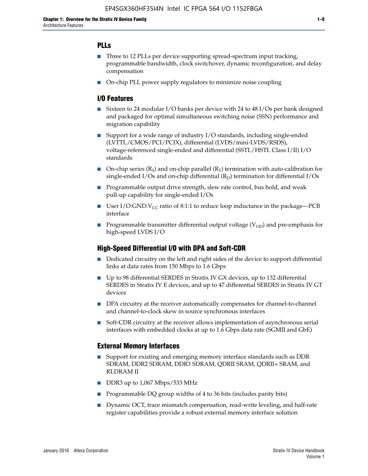## **PLLs**

- Three to 12 PLLs per device supporting spread-spectrum input tracking, programmable bandwidth, clock switchover, dynamic reconfiguration, and delay compensation
- On-chip PLL power supply regulators to minimize noise coupling

## **I/O Features**

- Sixteen to 24 modular I/O banks per device with 24 to 48 I/Os per bank designed and packaged for optimal simultaneous switching noise (SSN) performance and migration capability
- Support for a wide range of industry I/O standards, including single-ended (LVTTL/CMOS/PCI/PCIX), differential (LVDS/mini-LVDS/RSDS), voltage-referenced single-ended and differential (SSTL/HSTL Class I/II) I/O standards
- **O**n-chip series  $(R_S)$  and on-chip parallel  $(R_T)$  termination with auto-calibration for single-ended I/Os and on-chip differential  $(R_D)$  termination for differential I/Os
- Programmable output drive strength, slew rate control, bus hold, and weak pull-up capability for single-ended I/Os
- User I/O:GND: $V_{CC}$  ratio of 8:1:1 to reduce loop inductance in the package—PCB interface
- **■** Programmable transmitter differential output voltage ( $V_{OD}$ ) and pre-emphasis for high-speed LVDS I/O

#### **High-Speed Differential I/O with DPA and Soft-CDR**

- Dedicated circuitry on the left and right sides of the device to support differential links at data rates from 150 Mbps to 1.6 Gbps
- Up to 98 differential SERDES in Stratix IV GX devices, up to 132 differential SERDES in Stratix IV E devices, and up to 47 differential SERDES in Stratix IV GT devices
- DPA circuitry at the receiver automatically compensates for channel-to-channel and channel-to-clock skew in source synchronous interfaces
- Soft-CDR circuitry at the receiver allows implementation of asynchronous serial interfaces with embedded clocks at up to 1.6 Gbps data rate (SGMII and GbE)

#### **External Memory Interfaces**

- Support for existing and emerging memory interface standards such as DDR SDRAM, DDR2 SDRAM, DDR3 SDRAM, QDRII SRAM, QDRII+ SRAM, and RLDRAM II
- DDR3 up to 1,067 Mbps/533 MHz
- Programmable DQ group widths of 4 to 36 bits (includes parity bits)
- Dynamic OCT, trace mismatch compensation, read-write leveling, and half-rate register capabilities provide a robust external memory interface solution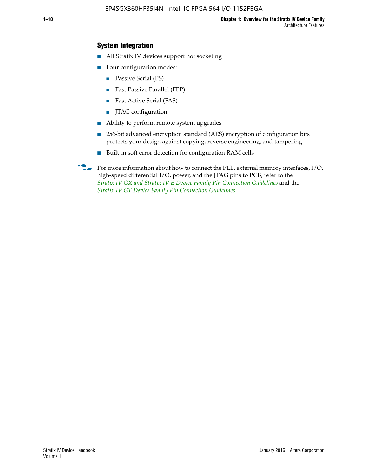## **System Integration**

- All Stratix IV devices support hot socketing
- Four configuration modes:
	- Passive Serial (PS)
	- Fast Passive Parallel (FPP)
	- Fast Active Serial (FAS)
	- JTAG configuration
- Ability to perform remote system upgrades
- 256-bit advanced encryption standard (AES) encryption of configuration bits protects your design against copying, reverse engineering, and tampering
- Built-in soft error detection for configuration RAM cells
- For more information about how to connect the PLL, external memory interfaces,  $I/O$ , high-speed differential I/O, power, and the JTAG pins to PCB, refer to the *[Stratix IV GX and Stratix IV E Device Family Pin Connection Guidelines](http://www.altera.com/literature/dp/stratix4/PCG-01005.pdf)* and the *[Stratix IV GT Device Family Pin Connection Guidelines](http://www.altera.com/literature/dp/stratix4/PCG-01006.pdf)*.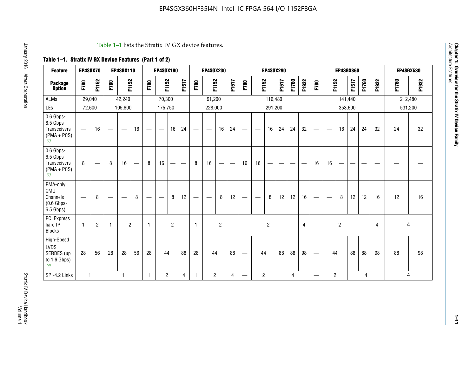#### Table 1–1 lists the Stratix IV GX device features.

## **Table 1–1. Stratix IV GX Device Features (Part 1 of 2)**

| <b>Feature</b>                                                       | EP4SGX70                       |                |                                  | <b>EP4SGX110</b> |    |                                | <b>EP4SGX180</b>               |                |       |              | <b>EP4SGX230</b>         |                          |                               |      |                | <b>EP4SGX290</b> |       |       |       |                          |                   |                | <b>EP4SGX360</b> |       |       |         | <b>EP4SGX530</b> |
|----------------------------------------------------------------------|--------------------------------|----------------|----------------------------------|------------------|----|--------------------------------|--------------------------------|----------------|-------|--------------|--------------------------|--------------------------|-------------------------------|------|----------------|------------------|-------|-------|-------|--------------------------|-------------------|----------------|------------------|-------|-------|---------|------------------|
| <b>Package</b><br><b>Option</b>                                      | F780                           | F1152          | F780                             | F1152            |    | F780                           | F1152                          |                | F1517 | F780         | F1152                    |                          | F1517                         | F780 | F1152          |                  | F1517 | F1760 | F1932 | F780                     | F1152             |                | F1517            | F1760 | F1932 | F1760   | F1932            |
| ALMs                                                                 | 29,040                         |                |                                  | 42,240           |    |                                | 70,300                         |                |       |              | 91,200                   |                          |                               |      |                | 116,480          |       |       |       |                          |                   |                | 141,440          |       |       | 212,480 |                  |
| LEs                                                                  | 72,600                         |                |                                  | 105,600          |    |                                | 175,750                        |                |       |              | 228,000                  |                          |                               |      |                | 291,200          |       |       |       |                          |                   |                | 353,600          |       |       |         | 531,200          |
| 0.6 Gbps-<br>8.5 Gbps<br>Transceivers<br>$(PMA + PCs)$<br>(1)        | $\overline{\phantom{0}}$       | 16             |                                  |                  | 16 |                                | $\qquad \qquad \longleftarrow$ | 16             | 24    |              |                          | 16                       | 24                            |      |                | 16               | 24    | 24    | 32    | $\overline{\phantom{0}}$ |                   | 16             | 24               | 24    | 32    | 24      | 32               |
| 0.6 Gbps-<br>6.5 Gbps<br><b>Transceivers</b><br>$(PMA + PCs)$<br>(1) | 8                              |                | 8                                | 16               | –  | 8                              | 16                             | -              |       | 8            | 16                       | $\overline{\phantom{0}}$ | $\overbrace{\phantom{aaaaa}}$ | 16   | 16             |                  | -     |       |       | 16                       | 16                |                |                  |       |       |         |                  |
| PMA-only<br>CMU<br>Channels<br>$(0.6$ Gbps-<br>6.5 Gbps)             | $\qquad \qquad \longleftarrow$ | 8              | $\overbrace{\phantom{12322111}}$ |                  | 8  | $\qquad \qquad \longleftarrow$ |                                | 8              | 12    | -            | $\overline{\phantom{a}}$ | 8                        | 12                            |      |                | 8                | 12    | 12    | 16    | $\overline{\phantom{0}}$ | $\hspace{0.05cm}$ | 8              | 12               | 12    | 16    | 12      | 16               |
| PCI Express<br>hard IP<br><b>Blocks</b>                              | $\mathbf{1}$                   | $\overline{2}$ |                                  | $\overline{2}$   |    | 1                              |                                | $\overline{2}$ |       | $\mathbf{1}$ |                          | $\overline{c}$           |                               |      |                | $\overline{c}$   |       |       | 4     |                          |                   | $\overline{2}$ |                  |       | 4     |         | 4                |
| High-Speed<br>LVDS<br>SERDES (up<br>to 1.6 Gbps)<br>(4)              | 28                             | 56             | 28                               | 28               | 56 | 28                             | 44                             |                | 88    | 28           | 44                       |                          | 88                            | —    | 44             |                  | 88    | 88    | 98    |                          | 44                |                | 88               | 88    | 98    | 88      | 98               |
| SPI-4.2 Links                                                        | $\mathbf{1}$                   |                |                                  | 1                |    | $\mathbf{1}$                   | $\overline{c}$                 |                | 4     | 1            | $\overline{c}$           |                          | $\overline{4}$                | —    | $\overline{2}$ |                  |       | 4     |       | $\overline{\phantom{0}}$ | $\overline{2}$    |                |                  | 4     |       |         | 4                |

**Chapter 1: Overview for the Stratix IV Device Family**

**Chapter 1: Overview for the Stratix IV Device Family**<br>Architecture Features

Architecture Features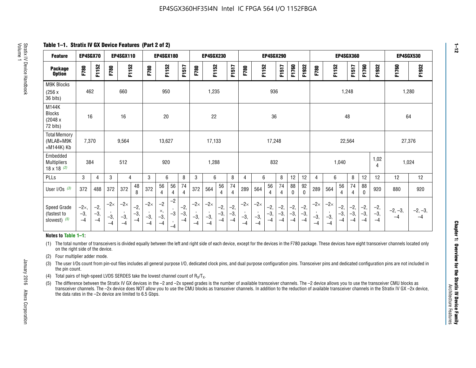**Table 1–1. Stratix IV GX Device Features (Part 2 of 2)**

| <b>Feature</b>                                       | EP4SGX70                |                        |                             | <b>EP4SGX110</b>            |                      |                             | <b>EP4SGX180</b>          |                                              |                        |                             | <b>EP4SGX230</b>            |                        |                      |                             |                             | EP4SGX290              |                      |                        |                        |                             |                             |                        | <b>EP4SGX360</b>     |                        |                        | <b>EP4SGX530</b>  |                   |
|------------------------------------------------------|-------------------------|------------------------|-----------------------------|-----------------------------|----------------------|-----------------------------|---------------------------|----------------------------------------------|------------------------|-----------------------------|-----------------------------|------------------------|----------------------|-----------------------------|-----------------------------|------------------------|----------------------|------------------------|------------------------|-----------------------------|-----------------------------|------------------------|----------------------|------------------------|------------------------|-------------------|-------------------|
| <b>Package</b><br><b>Option</b>                      | F780                    | F1152                  | F780                        | F1152                       |                      | F780                        | F1152                     |                                              | F1517                  | F780                        | F1152                       |                        | F1517                | F780                        | F1152                       |                        | F1517                | F1760                  | F1932                  | F780                        | F1152                       |                        | F1517                | F1760                  | F1932                  | F1760             | F1932             |
| M9K Blocks<br>(256x)<br>36 bits)                     | 462                     |                        |                             | 660                         |                      |                             | 950                       |                                              |                        |                             | 1,235                       |                        |                      |                             |                             | 936                    |                      |                        |                        |                             |                             | 1,248                  |                      |                        |                        | 1,280             |                   |
| M144K<br>Blocks<br>(2048 x<br>72 bits)               | 16                      |                        |                             | 16                          |                      |                             | 20                        |                                              |                        |                             | 22                          |                        |                      |                             |                             | 36                     |                      |                        |                        |                             |                             | 48                     |                      |                        |                        | 64                |                   |
| <b>Total Memory</b><br>(MLAB+M9K<br>+M144K) Kb       | 7,370                   |                        |                             | 9,564                       |                      |                             | 13,627                    |                                              |                        |                             | 17,133                      |                        |                      |                             |                             | 17,248                 |                      |                        |                        |                             |                             | 22,564                 |                      |                        |                        | 27,376            |                   |
| Embedded<br><b>Multipliers</b><br>$18 \times 18$ (2) | 384                     |                        |                             | 512                         |                      |                             | 920                       |                                              |                        |                             | 1,288                       |                        |                      |                             |                             | 832                    |                      |                        |                        |                             |                             | 1,040                  |                      |                        | 1,02<br>4              | 1,024             |                   |
| PLLs                                                 | 3                       | 4                      | 3                           | 4                           |                      | 3                           | 6                         |                                              | 8                      | 3                           | 6                           |                        | 8                    | 4                           | 6                           |                        | 8                    | 12                     | 12                     | 4                           | 6                           |                        | 8                    | 12                     | 12                     | 12                | 12                |
| User I/Os $(3)$                                      | 372                     | 488                    | 372                         | 372                         | 48<br>8              | 372                         | 56<br>4                   | 56<br>4                                      | 74<br>$\overline{4}$   | 372                         | 564                         | 56<br>4                | 74<br>$\overline{4}$ | 289                         | 564                         | 56<br>4                | 74<br>4              | 88<br>0                | 92<br>$\mathbf 0$      | 289                         | 564                         | 56<br>4                | 74<br>4              | 88<br>0                | 920                    | 880               | 920               |
| Speed Grade<br>(fastest to<br>slowest) (5)           | $-2x,$<br>$-3,$<br>$-4$ | $-2,$<br>$-3,$<br>$-4$ | $-2\times$<br>$-3,$<br>$-4$ | $-2\times$<br>$-3,$<br>$-4$ | $-2,$<br>-3,<br>$-4$ | $-2\times$<br>$-3,$<br>$-4$ | $-2$<br>×,<br>$-3,$<br>-4 | $-2$<br>$\,$<br>$-3$<br>$\mathbf{r}$<br>$-4$ | $-2,$<br>$-3,$<br>$-4$ | $-2\times$<br>$-3,$<br>$-4$ | $-2\times$<br>$-3,$<br>$-4$ | $-2,$<br>$-3,$<br>$-4$ | $-2,$<br>-3,<br>$-4$ | $-2\times$<br>$-3,$<br>$-4$ | $-2\times$<br>$-3,$<br>$-4$ | $-2,$<br>$-3,$<br>$-4$ | $-2,$<br>-3,<br>$-4$ | $-2,$<br>$-3,$<br>$-4$ | $-2,$<br>$-3,$<br>$-4$ | $-2\times$<br>$-3,$<br>$-4$ | $-2\times$<br>$-3,$<br>$-4$ | $-2,$<br>$-3,$<br>$-4$ | $-2,$<br>-3,<br>$-4$ | $-2,$<br>$-3,$<br>$-4$ | $-2,$<br>$-3,$<br>$-4$ | $-2, -3,$<br>$-4$ | $-2, -3,$<br>$-4$ |

#### **Notes to Table 1–1:**

(1) The total number of transceivers is divided equally between the left and right side of each device, except for the devices in the F780 package. These devices have eight transceiver channels located only on the right side of the device.

- (2) Four multiplier adder mode.
- (3) The user I/Os count from pin-out files includes all general purpose I/O, dedicated clock pins, and dual purpose configuration pins. Transceiver pins and dedicated configuration pins are not included in the pin count.
- (4) Total pairs of high-speed LVDS SERDES take the lowest channel count of  $R_X/T_X$ .
- (5) The difference between the Stratix IV GX devices in the –2 and –2x speed grades is the number of available transceiver channels. The –2 device allows you to use the transceiver CMU blocks as transceiver channels. The –2x device does NOT allow you to use the CMU blocks as transceiver channels. In addition to the reduction of available transceiver channels in the Stratix IV GX –2x device, the data rates in the –2x device are limited to 6.5 Gbps.

January 2016 Altera Corporation

Altera Corporation

January 2016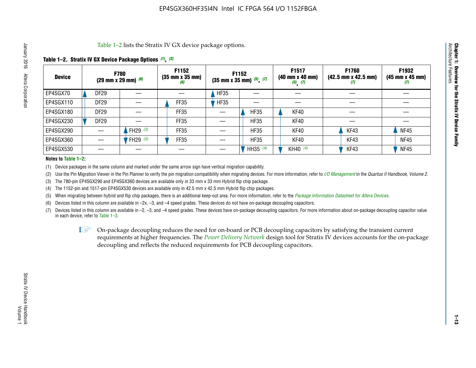Table 1–2 lists the Stratix IV GX device package options.

## **Table 1–2. Stratix IV GX Device Package Options** *(1)***,** *(2)*

| <b>Device</b> |                  | <b>F780</b><br>(29 mm x 29 mm) $(6)$ | F1152<br>$(35 \, \text{mm} \times 35 \, \text{mm})$<br>(6) |             | F1152<br>$(35$ mm x 35 mm) $(5)$ , $(7)$ | F1517<br>(40 mm x 40 mm)<br>$(5)$ $(7)$ | <b>F1760</b><br>$(42.5 \text{ mm} \times 42.5 \text{ mm})$<br>$\boldsymbol{U}$ | F1932<br>$(45 \, \text{mm} \times 45 \, \text{mm})$<br>(7) |
|---------------|------------------|--------------------------------------|------------------------------------------------------------|-------------|------------------------------------------|-----------------------------------------|--------------------------------------------------------------------------------|------------------------------------------------------------|
| EP4SGX70      | <b>DF29</b>      |                                      |                                                            | HF35        |                                          |                                         |                                                                                |                                                            |
| EP4SGX110     | <b>DF29</b>      |                                      | <b>FF35</b>                                                | <b>HF35</b> |                                          |                                         |                                                                                |                                                            |
| EP4SGX180     | DF <sub>29</sub> |                                      | FF35                                                       |             | <b>HF35</b>                              | KF40                                    |                                                                                |                                                            |
| EP4SGX230     | DF <sub>29</sub> |                                      | FF35                                                       |             | <b>HF35</b>                              | KF40                                    |                                                                                |                                                            |
| EP4SGX290     |                  | FH29 $(3)$                           | FF35                                                       |             | <b>HF35</b>                              | <b>KF40</b>                             | KF43                                                                           | <b>NF45</b>                                                |
| EP4SGX360     |                  | <sup>'</sup> FH29 <sup>(3)</sup>     | <b>FF35</b>                                                |             | <b>HF35</b>                              | <b>KF40</b>                             | KF43                                                                           | <b>NF45</b>                                                |
| EP4SGX530     |                  |                                      |                                                            |             | HH35 (4)                                 | KH40 (4)                                | KF43                                                                           | <b>NF45</b>                                                |

#### **Notes to Table 1–2:**

(1) Device packages in the same column and marked under the same arrow sign have vertical migration capability.

(2) Use the Pin Migration Viewer in the Pin Planner to verify the pin migration compatibility when migrating devices. For more information, refer to *[I/O Management](http://www.altera.com/literature/hb/qts/qts_qii52013.pdf)* in the *Quartus II Handbook, Volume 2*.

(3) The 780-pin EP4SGX290 and EP4SGX360 devices are available only in 33 mm x 33 mm Hybrid flip chip package.

(4) The 1152-pin and 1517-pin EP4SGX530 devices are available only in 42.5 mm x 42.5 mm Hybrid flip chip packages.

(5) When migrating between hybrid and flip chip packages, there is an additional keep-out area. For more information, refer to the *[Package Information Datasheet for Altera Devices](http://www.altera.com/literature/ds/dspkg.pdf)*.

(6) Devices listed in this column are available in –2x, –3, and –4 speed grades. These devices do not have on-package decoupling capacitors.

(7) Devices listed in this column are available in –2, –3, and –4 speed grades. These devices have on-package decoupling capacitors. For more information about on-package decoupling capacitor value in each device, refer to Table 1–3.

 $\mathbb{L}$ s On-package decoupling reduces the need for on-board or PCB decoupling capacitors by satisfying the transient current requirements at higher frequencies. The *[Power Delivery Network](http://www.altera.com/literature/ug/pdn_tool_stxiv.zip)* design tool for Stratix IV devices accounts for the on-package decoupling and reflects the reduced requirements for PCB decoupling capacitors.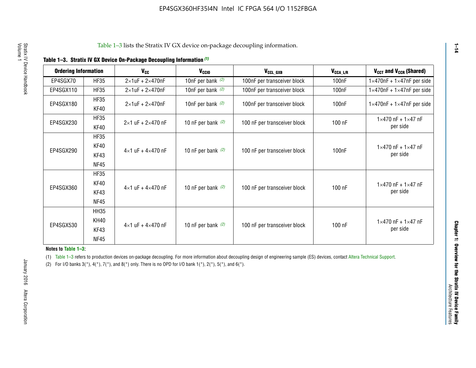|  |  | Table 1-3. Stratix IV GX Device On-Package Decoupling Information (1) |  |  |
|--|--|-----------------------------------------------------------------------|--|--|
|--|--|-----------------------------------------------------------------------|--|--|

| <b>Ordering Information</b> |                     | <b>V<sub>cc</sub></b>               | V <sub>ccio</sub>    | V <sub>CCL GXB</sub>         | V <sub>CCA_L/R</sub> | V <sub>CCT</sub> and V <sub>CCR</sub> (Shared)   |
|-----------------------------|---------------------|-------------------------------------|----------------------|------------------------------|----------------------|--------------------------------------------------|
| EP4SGX70                    | <b>HF35</b>         | $2\times1$ uF + $2\times470$ nF     | 10nF per bank $(2)$  | 100nF per transceiver block  | 100 <sub>n</sub> F   | $1 \times 470$ nF + $1 \times 47$ nF per side    |
| EP4SGX110                   | <b>HF35</b>         | $2\times1$ uF + $2\times470$ nF     | 10nF per bank $(2)$  | 100nF per transceiver block  | 100 <sub>n</sub> F   | $1\times470$ nF + $1\times47$ nF per side        |
| EP4SGX180                   | <b>HF35</b><br>KF40 | $2\times1$ uF + $2\times470$ nF     | 10nF per bank $(2)$  | 100nF per transceiver block  | 100 <sub>n</sub> F   | $1 \times 470$ nF + $1 \times 47$ nF per side    |
| EP4SGX230                   | <b>HF35</b><br>KF40 | $2 \times 1$ uF + $2 \times 470$ nF | 10 nF per bank $(2)$ | 100 nF per transceiver block | 100 nF               | $1 \times 470$ nF + $1 \times 47$ nF<br>per side |
|                             | <b>HF35</b><br>KF40 |                                     |                      |                              |                      | $1 \times 470$ nF + $1 \times 47$ nF             |
| EP4SGX290                   | KF43<br><b>NF45</b> | $4 \times 1$ uF + $4 \times 470$ nF | 10 nF per bank $(2)$ | 100 nF per transceiver block | 100nF                | per side                                         |
|                             | <b>HF35</b><br>KF40 |                                     |                      |                              |                      | $1 \times 470$ nF + $1 \times 47$ nF             |
| EP4SGX360                   | KF43<br><b>NF45</b> | $4 \times 1$ uF + $4 \times 470$ nF | 10 nF per bank $(2)$ | 100 nF per transceiver block | 100 nF               | per side                                         |
|                             | <b>HH35</b>         |                                     |                      |                              |                      |                                                  |
| EP4SGX530                   | <b>KH40</b><br>KF43 | $4 \times 1$ uF + $4 \times 470$ nF | 10 nF per bank $(2)$ | 100 nF per transceiver block | 100 nF               | $1 \times 470$ nF + $1 \times 47$ nF<br>per side |
| <b>NF45</b>                 |                     |                                     |                      |                              |                      |                                                  |

**Notes to Table 1–3:**

(1) Table 1-3 refers to production devices on-package decoupling. For more information about decoupling design of engineering sample (ES) devices, contact [Altera Technical Support](http://mysupport.altera.com/eservice/login.asp).

(2) For I/O banks  $3(*)$ ,  $4(*)$ ,  $7(*)$ , and  $8(*)$  only. There is no OPD for I/O bank  $1(*)$ ,  $2(*)$ ,  $5(*)$ , and  $6(*)$ .

**1–14**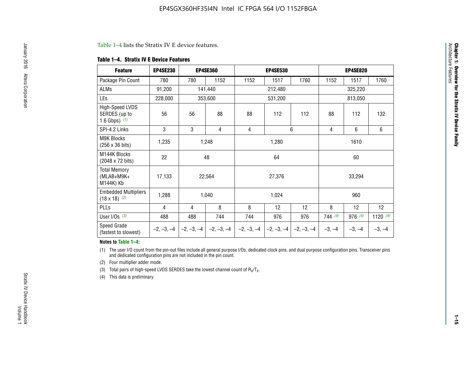#### Table 1–4 lists the Stratix IV E device features.

#### **Table 1–4. Stratix IV E Device Features**

| <b>Feature</b>                                      | <b>EP4SE230</b> |     | <b>EP4SE360</b>                          |              | <b>EP4SE530</b> |              |          | <b>EP4SE820</b> |            |
|-----------------------------------------------------|-----------------|-----|------------------------------------------|--------------|-----------------|--------------|----------|-----------------|------------|
| Package Pin Count                                   | 780             | 780 | 1152                                     | 1152         | 1517            | 1760         | 1152     | 1517            | 1760       |
| ALMs                                                | 91,200          |     | 141,440                                  |              | 212,480         |              |          | 325,220         |            |
| LEs                                                 | 228,000         |     | 353,600                                  |              | 531,200         |              |          | 813,050         |            |
| High-Speed LVDS<br>SERDES (up to<br>1.6 Gbps) $(1)$ | 56              | 56  | 88                                       | 88           | 112             | 112          | 88       | 112             | 132        |
| SPI-4.2 Links                                       | 3               | 3   | 4                                        | 4            |                 | 6            | 4        | 6               | 6          |
| <b>M9K Blocks</b><br>(256 x 36 bits)                | 1,235           |     | 1,248                                    |              | 1,280           |              |          | 1610            |            |
| M144K Blocks<br>(2048 x 72 bits)                    | 22              |     | 48                                       |              | 64              |              |          | 60              |            |
| <b>Total Memory</b><br>$(MLAB+M9K+$<br>M144K) Kb    | 17,133          |     | 22,564                                   |              | 27,376          |              |          | 33,294          |            |
| <b>Embedded Multipliers</b><br>$(18 \times 18)$ (2) | 1,288           |     | 1,040                                    |              | 1,024           |              |          | 960             |            |
| PLLs                                                | 4               | 4   | 8                                        | 8            | 12              | 12           | 8        | 12              | 12         |
| User I/Os $(3)$                                     | 488             | 488 | 744                                      | 744          | 976             | 976          | 744(4)   | 976 (4)         | 1120 $(4)$ |
| Speed Grade<br>(fastest to slowest)                 |                 |     | $-2, -3, -4$ $ -2, -3, -4$ $ -2, -3, -4$ | $-2, -3, -4$ | $-2, -3, -4$    | $-2, -3, -4$ | $-3, -4$ | $-3, -4$        | $-3, -4$   |

#### **Notes to Table 1–4:**

(1) The user I/O count from the pin-out files include all general purpose I/Os, dedicated clock pins, and dual purpose configuration pins. Transceiver pins and dedicated configuration pins are not included in the pin count.

(2) Four multiplier adder mode.

(3) Total pairs of high-speed LVDS SERDES take the lowest channel count of  $R_X/T_X$ .

(4) This data is preliminary.

**Chapter 1: Overview for the Stratix IV Device Family**

**Chapter 1: Overview for the Stratix IV Device Family**<br>Architecture Faatures

Architecture Features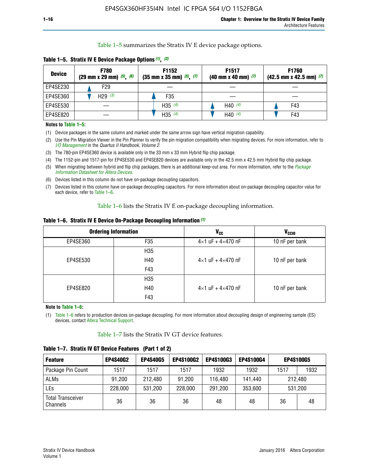Table 1–5 summarizes the Stratix IV E device package options.

| <b>Device</b> | <b>F780</b><br>$(29 \text{ mm} \times 29 \text{ mm})$ $(5)$ , $(6)$ | F1152<br>$(35 \text{ mm} \times 35 \text{ mm})$ $(5)$ $(7)$ | F <sub>1517</sub><br>$(40 \text{ mm} \times 40 \text{ mm})$ (7) | <b>F1760</b><br>$(42.5$ mm x 42.5 mm) $(7)$ |
|---------------|---------------------------------------------------------------------|-------------------------------------------------------------|-----------------------------------------------------------------|---------------------------------------------|
| EP4SE230      | F <sub>29</sub>                                                     |                                                             |                                                                 |                                             |
| EP4SE360      | H29 $(3)$                                                           | F35                                                         |                                                                 |                                             |
| EP4SE530      |                                                                     | H35 $(4)$                                                   | H40 $(4)$                                                       | F43                                         |
| EP4SE820      |                                                                     | H35 $(4)$                                                   | H40 $(4)$                                                       | F43                                         |

**Table 1–5. Stratix IV E Device Package Options** *(1)***,** *(2)*

#### **Notes to Table 1–5:**

(1) Device packages in the same column and marked under the same arrow sign have vertical migration capability.

(2) Use the Pin Migration Viewer in the Pin Planner to verify the pin migration compatibility when migrating devices. For more information, refer to *[I/O Management](http://www.altera.com/literature/hb/qts/qts_qii52013.pdf)* in the *Quartus II Handbook, Volume 2*.

(3) The 780-pin EP4SE360 device is available only in the 33 mm x 33 mm Hybrid flip chip package.

(4) The 1152-pin and 1517-pin for EP4SE530 and EP4SE820 devices are available only in the 42.5 mm x 42.5 mm Hybrid flip chip package.

(5) When migrating between hybrid and flip chip packages, there is an additional keep-out area. For more information, refer to the *[Package](http://www.altera.com/literature/ds/dspkg.pdf)  [Information Datasheet for Altera Devices](http://www.altera.com/literature/ds/dspkg.pdf)*.

(6) Devices listed in this column do not have on-package decoupling capacitors.

(7) Devices listed in this column have on-package decoupling capacitors. For more information about on-package decoupling capacitor value for each device, refer to Table 1–6.

Table 1–6 lists the Stratix IV E on-package decoupling information.

| Table 1–6. Stratix IV E Device On-Package Decoupling Information (1) |  |  |  |  |  |
|----------------------------------------------------------------------|--|--|--|--|--|
|----------------------------------------------------------------------|--|--|--|--|--|

|          | <b>Ordering Information</b> | <b>V<sub>cc</sub></b>               | <b>V<sub>CCIO</sub></b> |
|----------|-----------------------------|-------------------------------------|-------------------------|
| EP4SE360 | F <sub>35</sub>             | $4 \times 1$ uF + $4 \times 470$ nF | 10 nF per bank          |
|          | H <sub>35</sub>             |                                     |                         |
| EP4SE530 | H40                         | $4 \times 1$ uF + $4 \times 470$ nF | 10 nF per bank          |
|          | F43                         |                                     |                         |
|          | H <sub>35</sub>             |                                     |                         |
| EP4SE820 | H40                         | $4 \times 1$ uF + $4 \times 470$ nF | 10 nF per bank          |
|          | F43                         |                                     |                         |

**Note to Table 1–6:**

(1) Table 1–6 refers to production devices on-package decoupling. For more information about decoupling design of engineering sample (ES) devices, contact [Altera Technical Support](http://mysupport.altera.com/eservice/login.asp).

Table 1–7 lists the Stratix IV GT device features.

| <b>Feature</b>                       | <b>EP4S40G2</b> | <b>EP4S40G5</b> | <b>EP4S100G2</b> | <b>EP4S100G3</b> | <b>EP4S100G4</b> |         | <b>EP4S100G5</b> |
|--------------------------------------|-----------------|-----------------|------------------|------------------|------------------|---------|------------------|
| Package Pin Count                    | 1517            | 1517            | 1517             | 1932             | 1932             | 1517    | 1932             |
| <b>ALMs</b>                          | 91,200          | 212,480         | 91,200           | 116,480          | 141,440          |         | 212.480          |
| LEs                                  | 228,000         | 531,200         | 228,000          | 291,200          | 353,600          | 531,200 |                  |
| <b>Total Transceiver</b><br>Channels | 36              | 36              | 36               | 48               | 48               | 36      | 48               |

**Table 1–7. Stratix IV GT Device Features (Part 1 of 2)**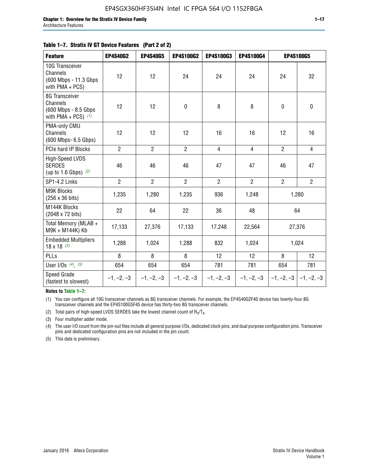#### **Table 1–7. Stratix IV GT Device Features (Part 2 of 2)**

| <b>Feature</b>                                                              | <b>EP4S40G2</b> | <b>EP4S40G5</b> | <b>EP4S100G2</b> | <b>EP4S100G3</b> | <b>EP4S100G4</b> |                | <b>EP4S100G5</b>          |
|-----------------------------------------------------------------------------|-----------------|-----------------|------------------|------------------|------------------|----------------|---------------------------|
| 10G Transceiver<br>Channels<br>(600 Mbps - 11.3 Gbps<br>with PMA + PCS)     | 12              | 12              | 24               | 24               | 24               | 24             | 32                        |
| 8G Transceiver<br>Channels<br>(600 Mbps - 8.5 Gbps<br>with PMA + PCS) $(1)$ | 12              | 12              | $\pmb{0}$        | 8                | 8                | $\mathbf 0$    | 0                         |
| PMA-only CMU<br>Channels<br>(600 Mbps- 6.5 Gbps)                            | 12              | 12              | 12               | 16               | 16               | 12             | 16                        |
| PCIe hard IP Blocks                                                         | $\overline{2}$  | $\overline{2}$  | $\overline{2}$   | $\overline{4}$   | $\overline{4}$   | $\overline{2}$ | $\overline{4}$            |
| <b>High-Speed LVDS</b><br><b>SERDES</b><br>(up to 1.6 Gbps) $(2)$           | 46              | 46              | 46               | 47               | 47               | 46             | 47                        |
| SP1-4.2 Links                                                               | $\overline{2}$  | $\overline{2}$  | $\overline{2}$   | $\overline{2}$   | $\overline{2}$   | $\overline{2}$ | $\overline{2}$            |
| <b>M9K Blocks</b><br>(256 x 36 bits)                                        | 1,235           | 1,280           | 1,235            | 936              | 1,248            |                | 1,280                     |
| M144K Blocks<br>(2048 x 72 bits)                                            | 22              | 64              | 22               | 36               | 48               |                | 64                        |
| Total Memory (MLAB +<br>M9K + M144K) Kb                                     | 17,133          | 27,376          | 17,133           | 17,248           | 22,564           |                | 27,376                    |
| <b>Embedded Multipliers</b><br>$18 \times 18^{(3)}$                         | 1,288           | 1,024           | 1,288            | 832              | 1,024            | 1,024          |                           |
| PLLs                                                                        | 8               | 8               | 8                | 12               | 12               | 8              | 12                        |
| User I/Os $(4)$ , $(5)$                                                     | 654             | 654             | 654              | 781              | 781              | 654            | 781                       |
| Speed Grade<br>(fastest to slowest)                                         | $-1, -2, -3$    | $-1, -2, -3$    | $-1, -2, -3$     | $-1, -2, -3$     | $-1, -2, -3$     |                | $-1, -2, -3$ $-1, -2, -3$ |

**Notes to Table 1–7:**

(1) You can configure all 10G transceiver channels as 8G transceiver channels. For example, the EP4S40G2F40 device has twenty-four 8G transceiver channels and the EP4S100G5F45 device has thirty-two 8G transceiver channels.

(2) Total pairs of high-speed LVDS SERDES take the lowest channel count of  $R_X/T_X$ .

(3) Four multiplier adder mode.

(4) The user I/O count from the pin-out files include all general purpose I/Os, dedicated clock pins, and dual purpose configuration pins. Transceiver pins and dedicated configuration pins are not included in the pin count.

(5) This data is preliminary.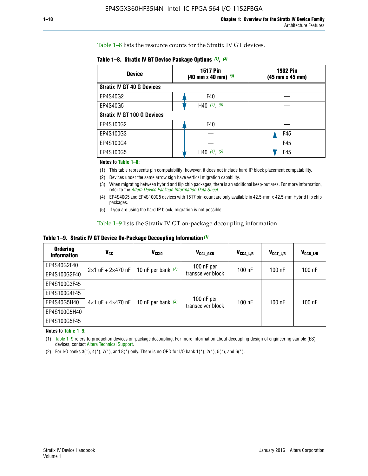Table 1–8 lists the resource counts for the Stratix IV GT devices.

|  | Table 1-8. Stratix IV GT Device Package Options (1), (2) |  |  |  |  |  |
|--|----------------------------------------------------------|--|--|--|--|--|
|--|----------------------------------------------------------|--|--|--|--|--|

| <b>Device</b>                      | <b>1517 Pin</b><br><b>1932 Pin</b><br>$(40 \text{ mm} \times 40 \text{ mm})$ $(3)$<br>(45 mm x 45 mm) |     |  |
|------------------------------------|-------------------------------------------------------------------------------------------------------|-----|--|
| <b>Stratix IV GT 40 G Devices</b>  |                                                                                                       |     |  |
| EP4S40G2                           | F40                                                                                                   |     |  |
| EP4S40G5                           | H40 $(4)$ , $(5)$                                                                                     |     |  |
| <b>Stratix IV GT 100 G Devices</b> |                                                                                                       |     |  |
| EP4S100G2                          | F40                                                                                                   |     |  |
| EP4S100G3                          |                                                                                                       | F45 |  |
| EP4S100G4                          |                                                                                                       | F45 |  |
| EP4S100G5                          | $(4)$ , $(5)$<br>H40                                                                                  | F45 |  |

#### **Notes to Table 1–8:**

(1) This table represents pin compatability; however, it does not include hard IP block placement compatability.

- (2) Devices under the same arrow sign have vertical migration capability.
- (3) When migrating between hybrid and flip chip packages, there is an additional keep-out area. For more information, refer to the *[Altera Device Package Information Data Sheet](http://www.altera.com/literature/ds/dspkg.pdf)*.
- (4) EP4S40G5 and EP4S100G5 devices with 1517 pin-count are only available in 42.5-mm x 42.5-mm Hybrid flip chip packages.
- (5) If you are using the hard IP block, migration is not possible.

Table 1–9 lists the Stratix IV GT on-package decoupling information.

**Table 1–9. Stratix IV GT Device On-Package Decoupling Information** *(1)*

| <b>Ordering</b><br><b>Information</b> | Vcc                                 | <b>V<sub>CCIO</sub></b> | V <sub>CCL GXB</sub>            | V <sub>CCA L/R</sub> | V <sub>CCT L/R</sub> | $V_{CCR\_L/R}$ |
|---------------------------------------|-------------------------------------|-------------------------|---------------------------------|----------------------|----------------------|----------------|
| EP4S40G2F40                           | $2 \times 1$ uF + $2 \times 470$ nF | 10 nF per bank $(2)$    | 100 nF per<br>transceiver block | $100$ nF             | $100$ nF             | $100$ nF       |
| EP4S100G2F40                          |                                     |                         |                                 |                      |                      |                |
| EP4S100G3F45                          |                                     | 10 nF per bank $(2)$    | 100 nF per<br>transceiver block | $100$ nF             | $100$ nF             | $100$ nF       |
| EP4S100G4F45                          |                                     |                         |                                 |                      |                      |                |
| EP4S40G5H40                           | $4\times1$ uF + $4\times470$ nF     |                         |                                 |                      |                      |                |
| EP4S100G5H40                          |                                     |                         |                                 |                      |                      |                |
| EP4S100G5F45                          |                                     |                         |                                 |                      |                      |                |

**Notes to Table 1–9:**

(1) Table 1–9 refers to production devices on-package decoupling. For more information about decoupling design of engineering sample (ES) devices, contact [Altera Technical Support](http://mysupport.altera.com/eservice/login.asp).

(2) For I/O banks  $3(*)$ ,  $4(*)$ ,  $7(*)$ , and  $8(*)$  only. There is no OPD for I/O bank  $1(*)$ ,  $2(*)$ ,  $5(*)$ , and  $6(*)$ .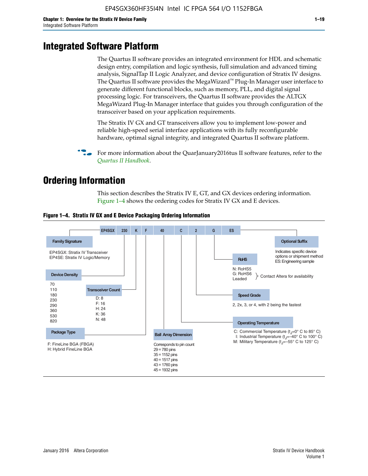# **Integrated Software Platform**

The Quartus II software provides an integrated environment for HDL and schematic design entry, compilation and logic synthesis, full simulation and advanced timing analysis, SignalTap II Logic Analyzer, and device configuration of Stratix IV designs. The Quartus II software provides the MegaWizard<sup> $M$ </sup> Plug-In Manager user interface to generate different functional blocks, such as memory, PLL, and digital signal processing logic. For transceivers, the Quartus II software provides the ALTGX MegaWizard Plug-In Manager interface that guides you through configuration of the transceiver based on your application requirements.

The Stratix IV GX and GT transceivers allow you to implement low-power and reliable high-speed serial interface applications with its fully reconfigurable hardware, optimal signal integrity, and integrated Quartus II software platform.

For more information about the QuarJanuary2016tus II software features, refer to the *[Quartus II Handbook](http://www.altera.com/literature/lit-qts.jsp)*.

# **Ordering Information**

This section describes the Stratix IV E, GT, and GX devices ordering information. Figure 1–4 shows the ordering codes for Stratix IV GX and E devices.



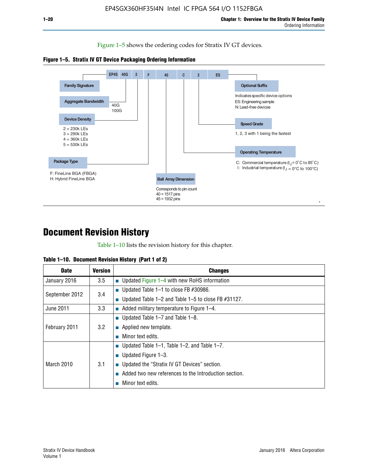Figure 1–5 shows the ordering codes for Stratix IV GT devices.





# **Document Revision History**

Table 1–10 lists the revision history for this chapter.

|  | Table 1–10. Document Revision History (Part 1 of 2) |  |  |
|--|-----------------------------------------------------|--|--|
|--|-----------------------------------------------------|--|--|

| <b>Date</b>       | Version | <b>Changes</b>                                         |
|-------------------|---------|--------------------------------------------------------|
| January 2016      | $3.5\,$ | <b>Updated Figure 1–4 with new RoHS information</b>    |
| September 2012    | 3.4     | ■ Updated Table 1–1 to close FB $#30986$ .             |
|                   |         | Updated Table 1–2 and Table 1–5 to close FB $#31127$ . |
| June 2011         | 3.3     | Added military temperature to Figure 1–4.              |
| February 2011     | 3.2     | ■ Updated Table 1–7 and Table 1–8.                     |
|                   |         | $\blacksquare$ Applied new template.                   |
|                   |         | Minor text edits.                                      |
| <b>March 2010</b> |         | <b>Updated Table 1–1, Table 1–2, and Table 1–7.</b>    |
|                   | 3.1     | ■ Updated Figure $1-3$ .                               |
|                   |         | ■ Updated the "Stratix IV GT Devices" section.         |
|                   |         | Added two new references to the Introduction section.  |
|                   |         | Minor text edits.                                      |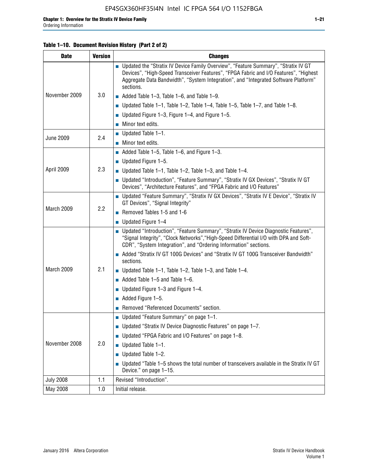#### **Table 1–10. Document Revision History (Part 2 of 2)**

| <b>Date</b>      | <b>Version</b> | <b>Changes</b>                                                                                                                                                                                                                                                                    |  |
|------------------|----------------|-----------------------------------------------------------------------------------------------------------------------------------------------------------------------------------------------------------------------------------------------------------------------------------|--|
| November 2009    | 3.0            | ■ Updated the "Stratix IV Device Family Overview", "Feature Summary", "Stratix IV GT<br>Devices", "High-Speed Transceiver Features", "FPGA Fabric and I/O Features", "Highest<br>Aggregate Data Bandwidth", "System Integration", and "Integrated Software Platform"<br>sections. |  |
|                  |                | $\blacksquare$ Added Table 1-3, Table 1-6, and Table 1-9.                                                                                                                                                                                                                         |  |
|                  |                | $\blacksquare$ Updated Table 1-1, Table 1-2, Table 1-4, Table 1-5, Table 1-7, and Table 1-8.                                                                                                                                                                                      |  |
|                  |                | ■ Updated Figure 1–3, Figure 1–4, and Figure 1–5.                                                                                                                                                                                                                                 |  |
|                  |                | $\blacksquare$ Minor text edits.                                                                                                                                                                                                                                                  |  |
| <b>June 2009</b> | 2.4            | $\blacksquare$ Updated Table 1-1.                                                                                                                                                                                                                                                 |  |
|                  |                | $\blacksquare$ Minor text edits.                                                                                                                                                                                                                                                  |  |
|                  |                | $\blacksquare$ Added Table 1–5, Table 1–6, and Figure 1–3.                                                                                                                                                                                                                        |  |
|                  |                | $\blacksquare$ Updated Figure 1-5.                                                                                                                                                                                                                                                |  |
| April 2009       | 2.3            | Updated Table $1-1$ , Table $1-2$ , Table $1-3$ , and Table $1-4$ .                                                                                                                                                                                                               |  |
|                  |                | ■ Updated "Introduction", "Feature Summary", "Stratix IV GX Devices", "Stratix IV GT<br>Devices", "Architecture Features", and "FPGA Fabric and I/O Features"                                                                                                                     |  |
| March 2009       | 2.2            | ■ Updated "Feature Summary", "Stratix IV GX Devices", "Stratix IV E Device", "Stratix IV<br>GT Devices", "Signal Integrity"                                                                                                                                                       |  |
|                  |                | Removed Tables 1-5 and 1-6                                                                                                                                                                                                                                                        |  |
|                  |                | $\blacksquare$ Updated Figure 1-4                                                                                                                                                                                                                                                 |  |
|                  |                | ■ Updated "Introduction", "Feature Summary", "Stratix IV Device Diagnostic Features",<br>"Signal Integrity", "Clock Networks", "High-Speed Differential I/O with DPA and Soft-<br>CDR", "System Integration", and "Ordering Information" sections.                                |  |
|                  |                | Added "Stratix IV GT 100G Devices" and "Stratix IV GT 100G Transceiver Bandwidth"<br>sections.                                                                                                                                                                                    |  |
| March 2009       | 2.1            | ■ Updated Table 1–1, Table 1–2, Table 1–3, and Table 1–4.                                                                                                                                                                                                                         |  |
|                  |                | $\blacksquare$ Added Table 1–5 and Table 1–6.                                                                                                                                                                                                                                     |  |
|                  |                | ■ Updated Figure 1–3 and Figure 1–4.                                                                                                                                                                                                                                              |  |
|                  |                | $\blacksquare$ Added Figure 1-5.                                                                                                                                                                                                                                                  |  |
|                  |                | Removed "Referenced Documents" section.                                                                                                                                                                                                                                           |  |
| November 2008    | 2.0            | Updated "Feature Summary" on page 1-1.                                                                                                                                                                                                                                            |  |
|                  |                | ■ Updated "Stratix IV Device Diagnostic Features" on page 1-7.                                                                                                                                                                                                                    |  |
|                  |                | Updated "FPGA Fabric and I/O Features" on page 1-8.                                                                                                                                                                                                                               |  |
|                  |                | $\blacksquare$ Updated Table 1-1.                                                                                                                                                                                                                                                 |  |
|                  |                | Updated Table 1-2.<br>П                                                                                                                                                                                                                                                           |  |
|                  |                | Updated "Table 1-5 shows the total number of transceivers available in the Stratix IV GT<br>Device." on page 1-15.                                                                                                                                                                |  |
| <b>July 2008</b> | 1.1            | Revised "Introduction".                                                                                                                                                                                                                                                           |  |
| May 2008         | 1.0            | Initial release.                                                                                                                                                                                                                                                                  |  |